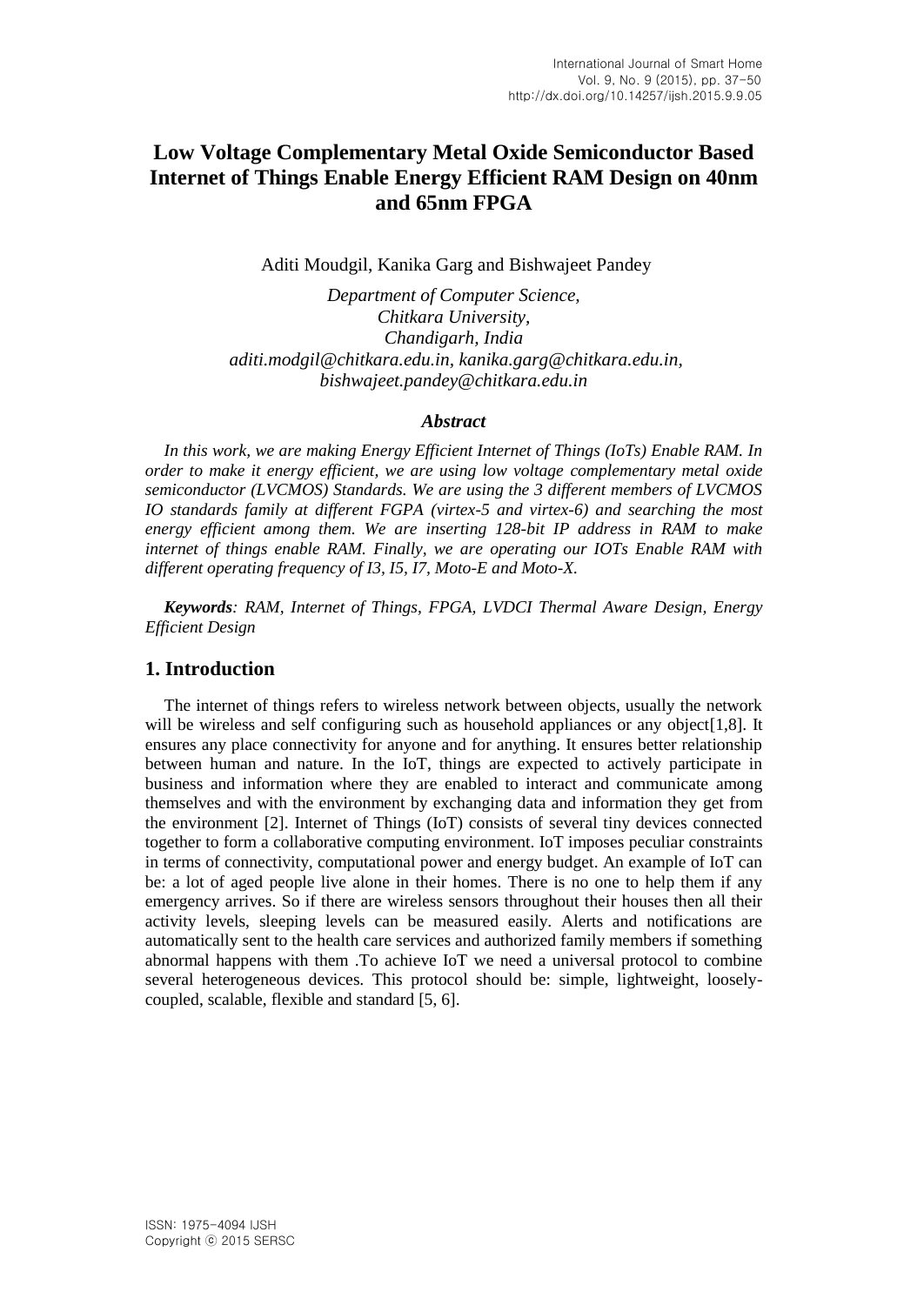# **Low Voltage Complementary Metal Oxide Semiconductor Based Internet of Things Enable Energy Efficient RAM Design on 40nm and 65nm FPGA**

Aditi Moudgil, Kanika Garg and Bishwajeet Pandey

*Department of Computer Science, Chitkara University, Chandigarh, India aditi.modgil@chitkara.edu.in, kanika.garg@chitkara.edu.in, bishwajeet.pandey@chitkara.edu.in*

### *Abstract*

*In this work, we are making Energy Efficient Internet of Things (IoTs) Enable RAM. In order to make it energy efficient, we are using low voltage complementary metal oxide semiconductor (LVCMOS) Standards. We are using the 3 different members of LVCMOS IO standards family at different FGPA (virtex-5 and virtex-6) and searching the most energy efficient among them. We are inserting 128-bit IP address in RAM to make internet of things enable RAM. Finally, we are operating our IOTs Enable RAM with different operating frequency of I3, I5, I7, Moto-E and Moto-X.*

*Keywords: RAM, Internet of Things, FPGA, LVDCI Thermal Aware Design, Energy Efficient Design*

## **1. Introduction**

The internet of things refers to wireless network between objects, usually the network will be wireless and self configuring such as household appliances or any object [1,8]. It ensures any place connectivity for anyone and for anything. It ensures better relationship between human and nature. In the IoT, things are expected to actively participate in business and information where they are enabled to interact and communicate among themselves and with the environment by exchanging data and information they get from the environment [2]. Internet of Things (IoT) consists of several tiny devices connected together to form a collaborative computing environment. IoT imposes peculiar constraints in terms of connectivity, computational power and energy budget. An example of IoT can be: a lot of aged people live alone in their homes. There is no one to help them if any emergency arrives. So if there are wireless sensors throughout their houses then all their activity levels, sleeping levels can be measured easily. Alerts and notifications are automatically sent to the health care services and authorized family members if something abnormal happens with them .To achieve IoT we need a universal protocol to combine several heterogeneous devices. This protocol should be: simple, lightweight, looselycoupled, scalable, flexible and standard [5, 6].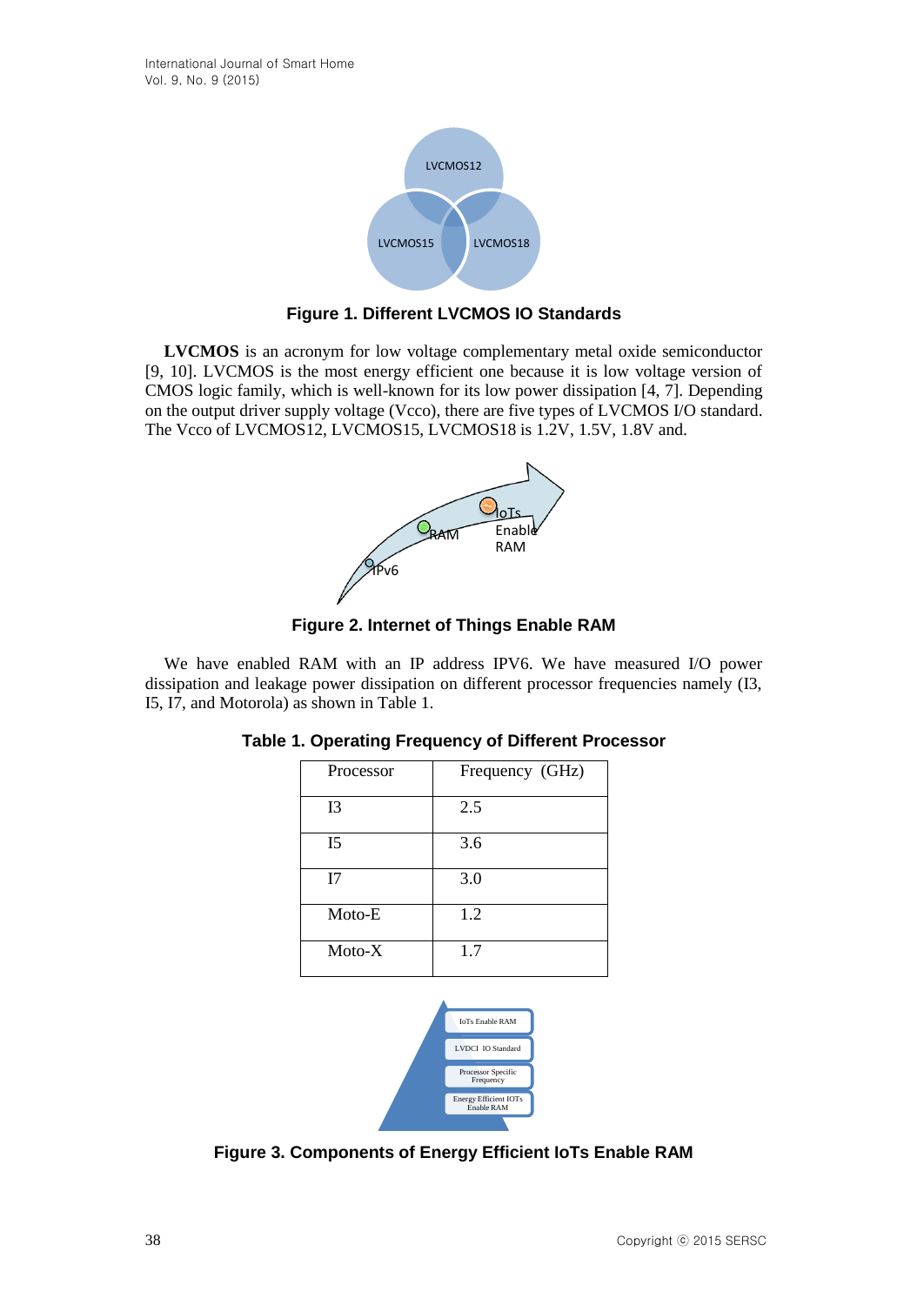

**Figure 1. Different LVCMOS IO Standards**

**LVCMOS** is an acronym for low voltage complementary metal oxide semiconductor [9, 10]. LVCMOS is the most energy efficient one because it is low voltage version of CMOS logic family, which is well-known for its low power dissipation [4, 7]. Depending on the output driver supply voltage (Vcco), there are five types of LVCMOS I/O standard. The Vcco of LVCMOS12, LVCMOS15, LVCMOS18 is 1.2V, 1.5V, 1.8V and.



**Figure 2. Internet of Things Enable RAM**

We have enabled RAM with an IP address IPV6. We have measured I/O power dissipation and leakage power dissipation on different processor frequencies namely (I3, I5, I7, and Motorola) as shown in Table 1.

| Processor | Frequency (GHz) |
|-----------|-----------------|
| I3        | 2.5             |
| I5        | 3.6             |
| I7        | 3.0             |
| Moto-E    | 1.2             |
| $Moto-X$  | 1.7             |



**Figure 3. Components of Energy Efficient IoTs Enable RAM**

# **Table 1. Operating Frequency of Different Processor**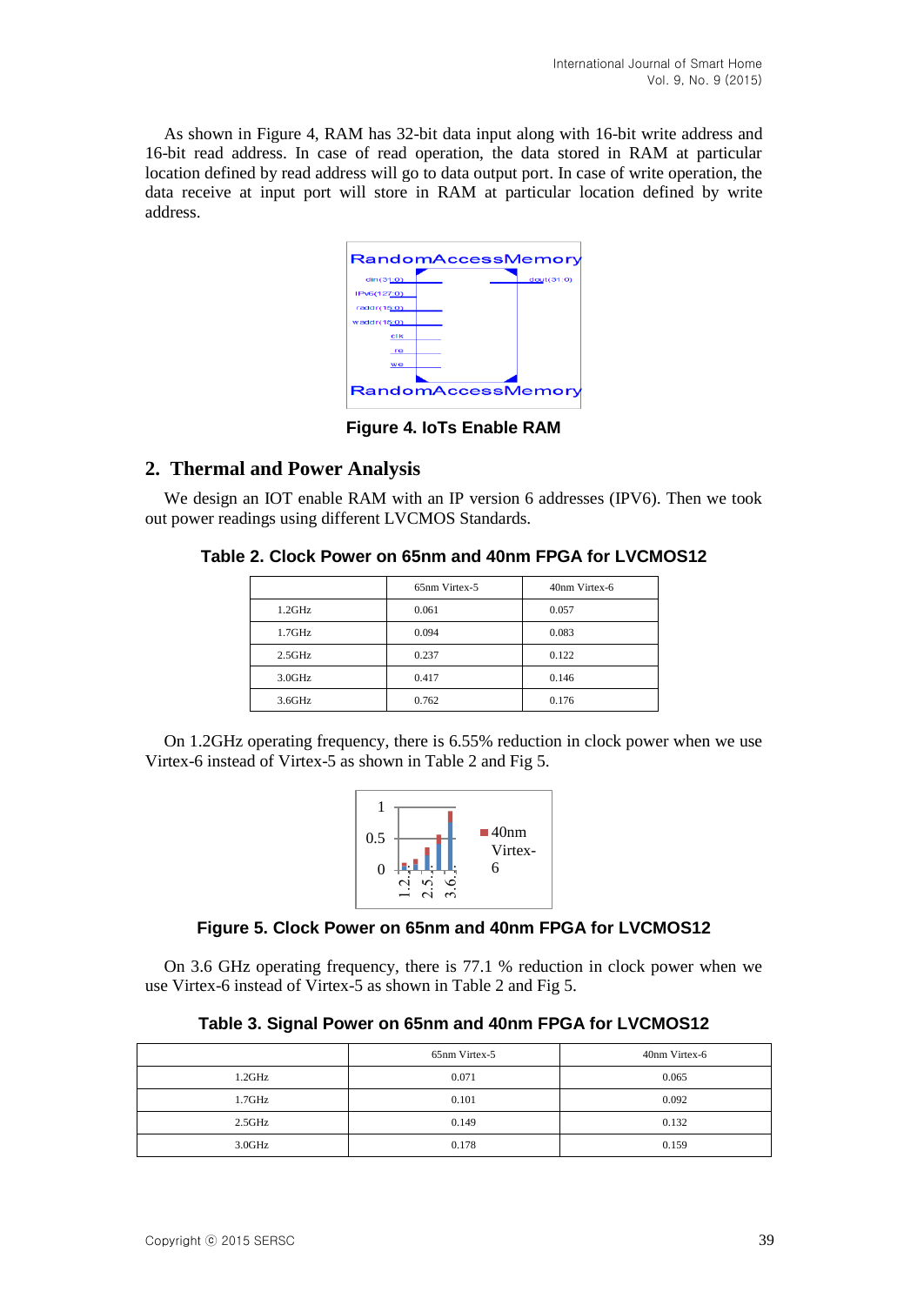As shown in Figure 4, RAM has 32-bit data input along with 16-bit write address and 16-bit read address. In case of read operation, the data stored in RAM at particular location defined by read address will go to data output port. In case of write operation, the data receive at input port will store in RAM at particular location defined by write address.

|                    | RandomAccessMemory |           |
|--------------------|--------------------|-----------|
| dim(31:0)          |                    | dot(31:0) |
| IPv6(127:0)        |                    |           |
| raddr(15:0)        |                    |           |
| waddr(15:0)        |                    |           |
| clk                |                    |           |
| re                 |                    |           |
| we                 |                    |           |
| RandomAccessMemory |                    |           |

**Figure 4. IoTs Enable RAM**

# **2. Thermal and Power Analysis**

We design an IOT enable RAM with an IP version 6 addresses (IPV6). Then we took out power readings using different LVCMOS Standards.

# **Table 2. Clock Power on 65nm and 40nm FPGA for LVCMOS12**

|        | 65nm Virtex-5 | 40nm Virtex-6 |
|--------|---------------|---------------|
| 1.2GHz | 0.061         | 0.057         |
| 1.7GHz | 0.094         | 0.083         |
| 2.5GHz | 0.237         | 0.122         |
| 3.0GHz | 0.417         | 0.146         |
| 3.6GHz | 0.762         | 0.176         |

On 1.2GHz operating frequency, there is 6.55% reduction in clock power when we use Virtex-6 instead of Virtex-5 as shown in Table 2 and Fig 5.



# **Figure 5. Clock Power on 65nm and 40nm FPGA for LVCMOS12**

On 3.6 GHz operating frequency, there is 77.1 % reduction in clock power when we use Virtex-6 instead of Virtex-5 as shown in Table 2 and Fig 5.

| Table 3. Signal Power on 65nm and 40nm FPGA for LVCMOS12 |
|----------------------------------------------------------|
|----------------------------------------------------------|

|        | 65nm Virtex-5 | 40nm Virtex-6 |
|--------|---------------|---------------|
| 1.2GHz | 0.071         | 0.065         |
| 1.7GHz | 0.101         | 0.092         |
| 2.5GHz | 0.149         | 0.132         |
| 3.0GHz | 0.178         | 0.159         |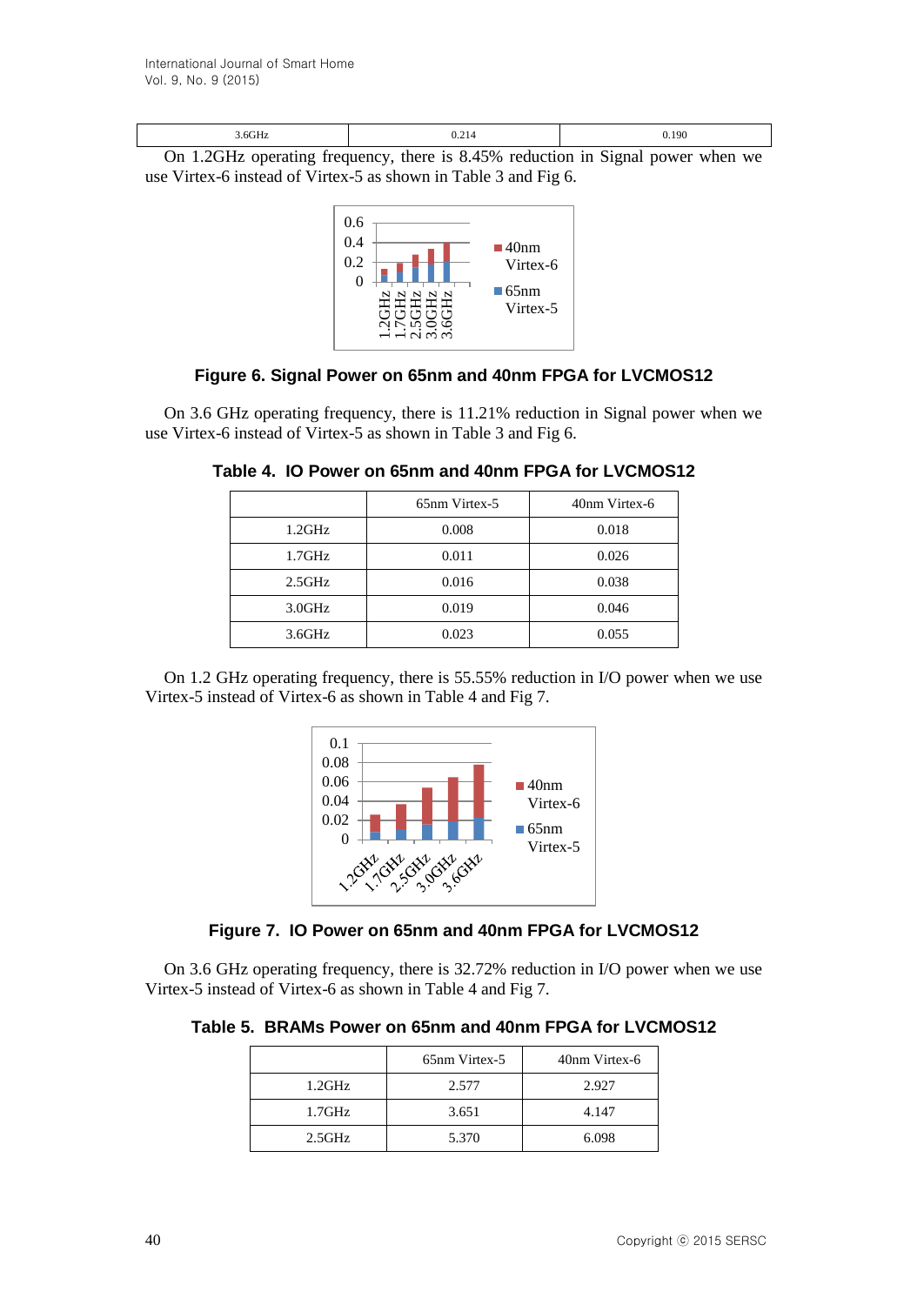On 1.2GHz operating frequency, there is 8.45% reduction in Signal power when we use Virtex-6 instead of Virtex-5 as shown in Table 3 and Fig 6.



# **Figure 6. Signal Power on 65nm and 40nm FPGA for LVCMOS12**

On 3.6 GHz operating frequency, there is 11.21% reduction in Signal power when we use Virtex-6 instead of Virtex-5 as shown in Table 3 and Fig 6.

|        | 65 <sub>nm</sub> Virtex-5 | 40nm Virtex-6 |
|--------|---------------------------|---------------|
| 1.2GHz | 0.008                     | 0.018         |
| 1.7GHz | 0.011                     | 0.026         |
| 2.5GHz | 0.016                     | 0.038         |
| 3.0GHz | 0.019                     | 0.046         |
| 3.6GHz | 0.023                     | 0.055         |

**Table 4. IO Power on 65nm and 40nm FPGA for LVCMOS12**

On 1.2 GHz operating frequency, there is 55.55% reduction in I/O power when we use Virtex-5 instead of Virtex-6 as shown in Table 4 and Fig 7.





On 3.6 GHz operating frequency, there is 32.72% reduction in I/O power when we use Virtex-5 instead of Virtex-6 as shown in Table 4 and Fig 7.

**Table 5. BRAMs Power on 65nm and 40nm FPGA for LVCMOS12**

|        | 65nm Virtex-5 | 40nm Virtex-6 |
|--------|---------------|---------------|
| 1.2GHz | 2.577         | 2.927         |
| 1.7GHz | 3.651         | 4.147         |
| 2.5GHz | 5.370         | 6.098         |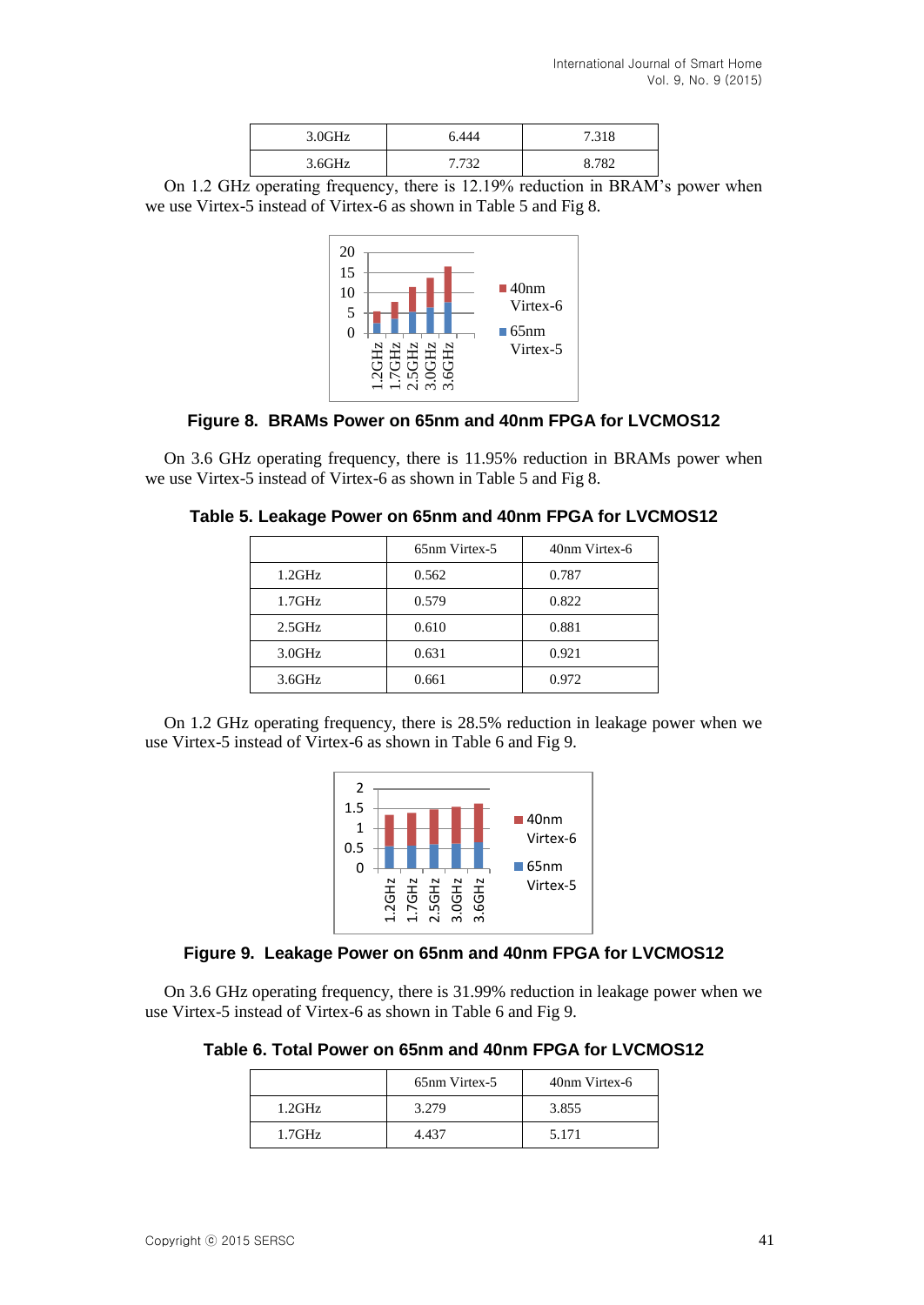| 3.0GHz | 6.444 | 7.318 |
|--------|-------|-------|
| 3.6GHz | 7.732 | 2782  |

On 1.2 GHz operating frequency, there is 12.19% reduction in BRAM's power when we use Virtex-5 instead of Virtex-6 as shown in Table 5 and Fig 8.



## **Figure 8. BRAMs Power on 65nm and 40nm FPGA for LVCMOS12**

On 3.6 GHz operating frequency, there is 11.95% reduction in BRAMs power when we use Virtex-5 instead of Virtex-6 as shown in Table 5 and Fig 8.

| Table 5. Leakage Power on 65nm and 40nm FPGA for LVCMOS12 |
|-----------------------------------------------------------|
|-----------------------------------------------------------|

|        | 65nm Virtex-5 | 40nm Virtex-6 |
|--------|---------------|---------------|
| 1.2GHz | 0.562         | 0.787         |
| 1.7GHz | 0.579         | 0.822         |
| 2.5GHz | 0.610         | 0.881         |
| 3.0GHz | 0.631         | 0.921         |
| 3.6GHz | 0.661         | 0.972         |

On 1.2 GHz operating frequency, there is 28.5% reduction in leakage power when we use Virtex-5 instead of Virtex-6 as shown in Table 6 and Fig 9.



## **Figure 9. Leakage Power on 65nm and 40nm FPGA for LVCMOS12**

On 3.6 GHz operating frequency, there is 31.99% reduction in leakage power when we use Virtex-5 instead of Virtex-6 as shown in Table 6 and Fig 9.

**Table 6. Total Power on 65nm and 40nm FPGA for LVCMOS12**

|        | 65nm Virtex-5 | 40nm Virtex-6 |
|--------|---------------|---------------|
| 1.2GHz | 3.279         | 3.855         |
| 1.7GHz | 4 437         | 5.171         |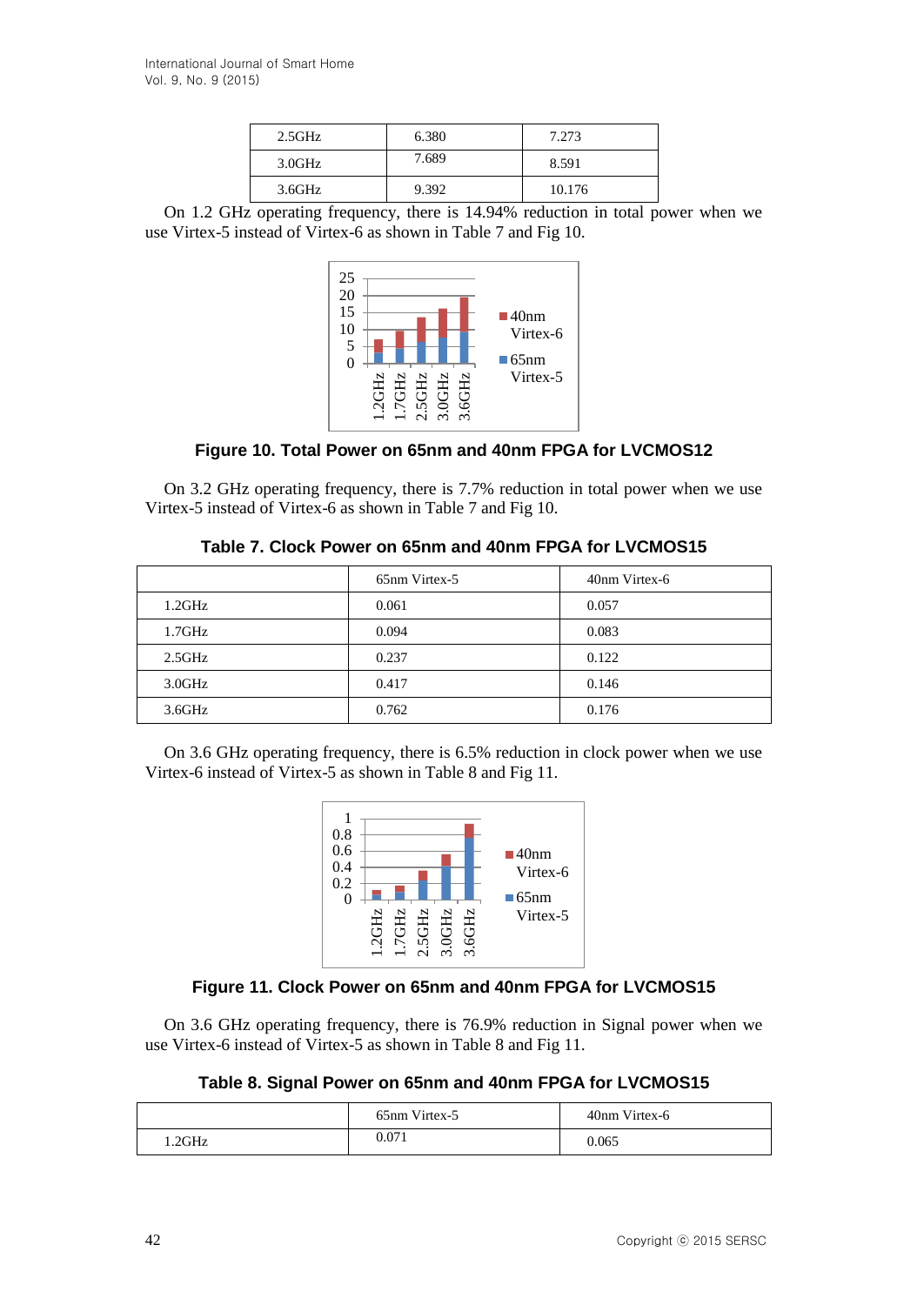| 2.5GHz | 6.380 | 7.273  |
|--------|-------|--------|
| 3.0GHz | 7.689 | 8.591  |
| 3.6GHz | 9.392 | 10.176 |

On 1.2 GHz operating frequency, there is 14.94% reduction in total power when we use Virtex-5 instead of Virtex-6 as shown in Table 7 and Fig 10.



**Figure 10. Total Power on 65nm and 40nm FPGA for LVCMOS12**

On 3.2 GHz operating frequency, there is 7.7% reduction in total power when we use Virtex-5 instead of Virtex-6 as shown in Table 7 and Fig 10.

|  |  |  |  | Table 7. Clock Power on 65nm and 40nm FPGA for LVCMOS15 |
|--|--|--|--|---------------------------------------------------------|
|--|--|--|--|---------------------------------------------------------|

|                 | 65nm Virtex-5 | 40nm Virtex-6 |
|-----------------|---------------|---------------|
| $1.2\text{GHz}$ | 0.061         | 0.057         |
| 1.7GHz          | 0.094         | 0.083         |
| 2.5GHz          | 0.237         | 0.122         |
| 3.0GHz          | 0.417         | 0.146         |
| 3.6GHz          | 0.762         | 0.176         |

On 3.6 GHz operating frequency, there is 6.5% reduction in clock power when we use Virtex-6 instead of Virtex-5 as shown in Table 8 and Fig 11.



## **Figure 11. Clock Power on 65nm and 40nm FPGA for LVCMOS15**

On 3.6 GHz operating frequency, there is 76.9% reduction in Signal power when we use Virtex-6 instead of Virtex-5 as shown in Table 8 and Fig 11.

**Table 8. Signal Power on 65nm and 40nm FPGA for LVCMOS15**

|        | 65nm Virtex-5 | 40nm Virtex-6 |
|--------|---------------|---------------|
| 1.2GHz | 0.071         | 0.065         |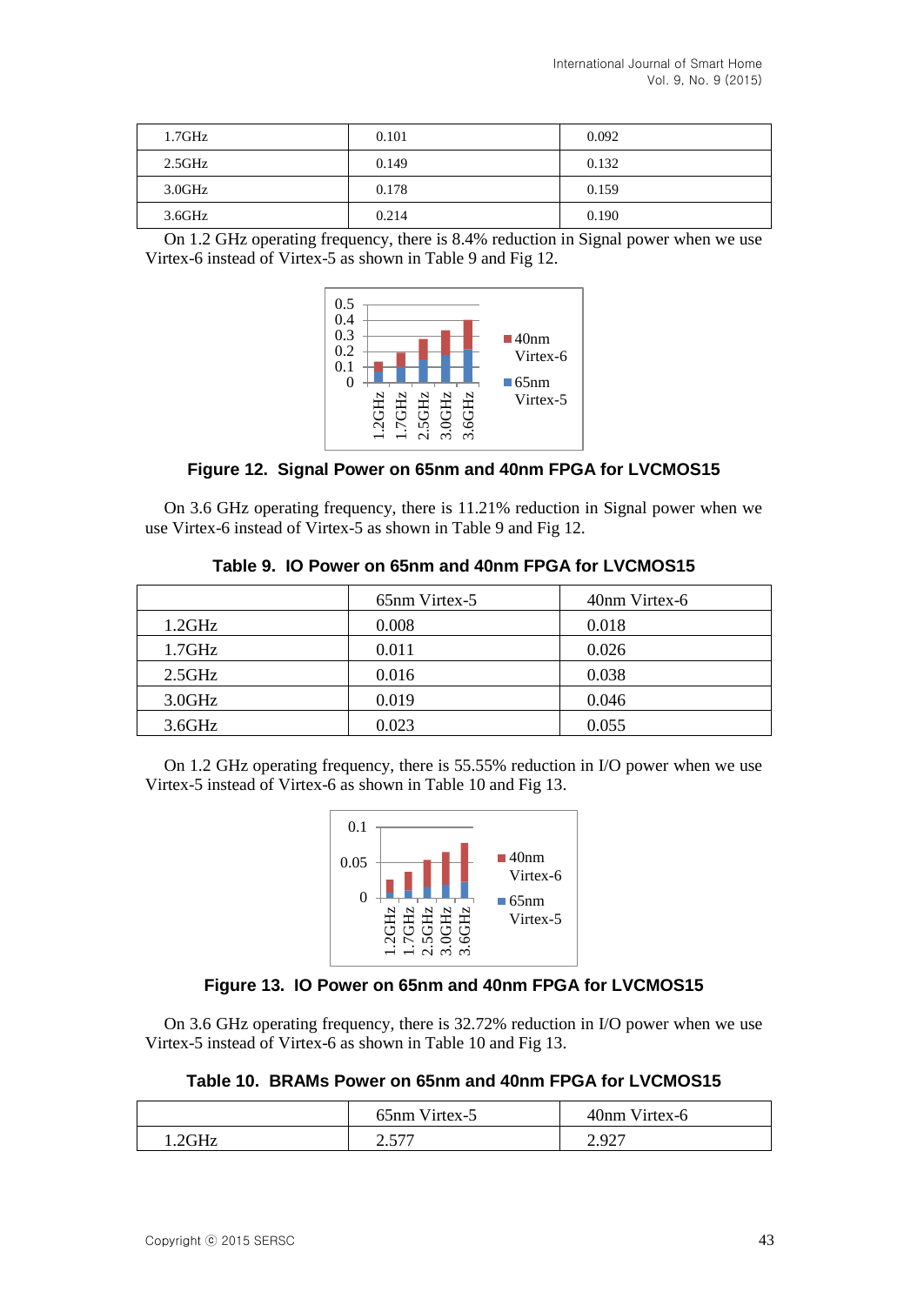| 1.7GHz          | 0.101 | 0.092 |
|-----------------|-------|-------|
| $2.5\text{GHz}$ | 0.149 | 0.132 |
| 3.0GHz          | 0.178 | 0.159 |
| 3.6GHz          | 0.214 | 0.190 |

On 1.2 GHz operating frequency, there is 8.4% reduction in Signal power when we use Virtex-6 instead of Virtex-5 as shown in Table 9 and Fig 12.



**Figure 12. Signal Power on 65nm and 40nm FPGA for LVCMOS15**

On 3.6 GHz operating frequency, there is 11.21% reduction in Signal power when we use Virtex-6 instead of Virtex-5 as shown in Table 9 and Fig 12.

|        | 65nm Virtex-5 | 40nm Virtex-6 |
|--------|---------------|---------------|
| 1.2GHz | 0.008         | 0.018         |
| 1.7GHz | 0.011         | 0.026         |
| 2.5GHz | 0.016         | 0.038         |
| 3.0GHz | 0.019         | 0.046         |
| 3.6GHz | 0.023         | 0.055         |

**Table 9. IO Power on 65nm and 40nm FPGA for LVCMOS15**

On 1.2 GHz operating frequency, there is 55.55% reduction in I/O power when we use Virtex-5 instead of Virtex-6 as shown in Table 10 and Fig 13.



# **Figure 13. IO Power on 65nm and 40nm FPGA for LVCMOS15**

On 3.6 GHz operating frequency, there is 32.72% reduction in I/O power when we use Virtex-5 instead of Virtex-6 as shown in Table 10 and Fig 13.

**Table 10. BRAMs Power on 65nm and 40nm FPGA for LVCMOS15**

|        | 65nm Virtex-5 | 40nm Virtex-6 |
|--------|---------------|---------------|
| 1.2GHz | רדא ר<br>ا ل  | 2.927         |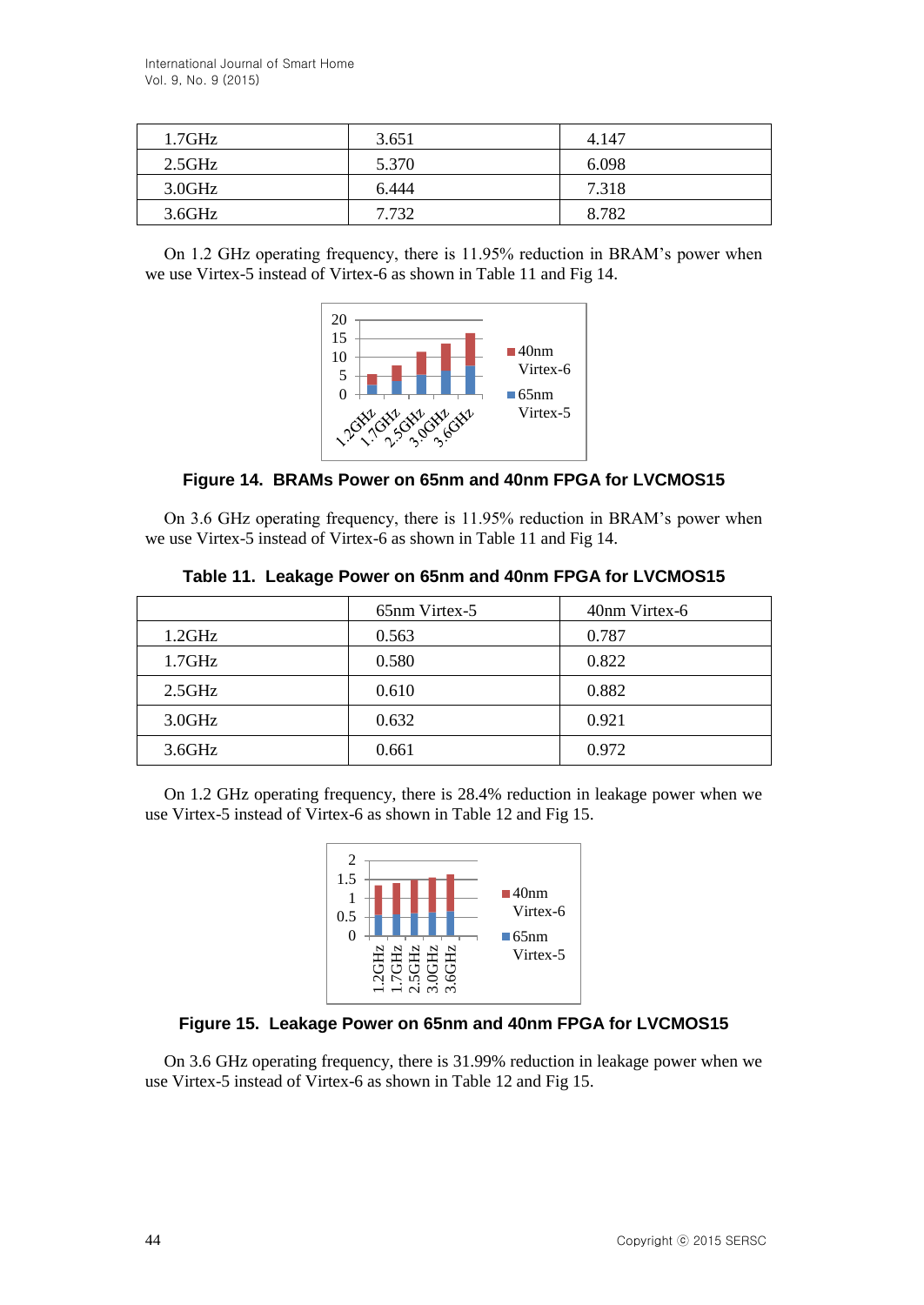| 1.7GHz            | 3.651 | 4.147 |
|-------------------|-------|-------|
| 2.5GHz            | 5.370 | 6.098 |
| $3.0\mathrm{GHz}$ | 6.444 | 7.318 |
| 3.6GHz            | 7.732 | 8.782 |

On 1.2 GHz operating frequency, there is 11.95% reduction in BRAM's power when we use Virtex-5 instead of Virtex-6 as shown in Table 11 and Fig 14.



**Figure 14. BRAMs Power on 65nm and 40nm FPGA for LVCMOS15**

On 3.6 GHz operating frequency, there is 11.95% reduction in BRAM's power when we use Virtex-5 instead of Virtex-6 as shown in Table 11 and Fig 14.

|        | 65nm Virtex-5 | 40nm Virtex-6 |
|--------|---------------|---------------|
| 1.2GHz | 0.563         | 0.787         |
| 1.7GHz | 0.580         | 0.822         |
| 2.5GHz | 0.610         | 0.882         |
| 3.0GHz | 0.632         | 0.921         |
| 3.6GHz | 0.661         | 0.972         |

**Table 11. Leakage Power on 65nm and 40nm FPGA for LVCMOS15**

On 1.2 GHz operating frequency, there is 28.4% reduction in leakage power when we use Virtex-5 instead of Virtex-6 as shown in Table 12 and Fig 15.



# **Figure 15. Leakage Power on 65nm and 40nm FPGA for LVCMOS15**

On 3.6 GHz operating frequency, there is 31.99% reduction in leakage power when we use Virtex-5 instead of Virtex-6 as shown in Table 12 and Fig 15.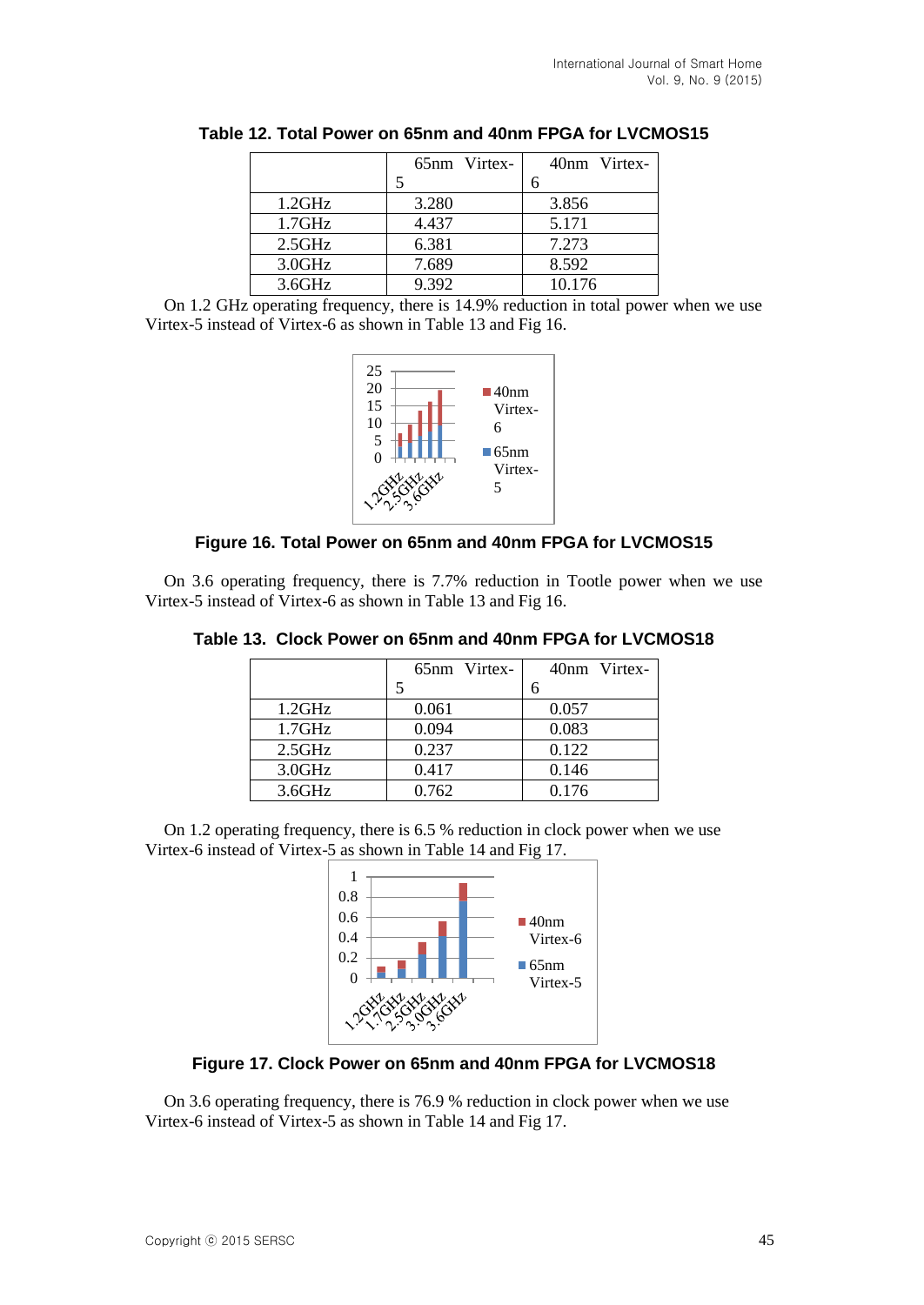|        | 65nm Virtex- | 40nm Virtex- |
|--------|--------------|--------------|
|        |              |              |
| 1.2GHz | 3.280        | 3.856        |
| 1.7GHz | 4.437        | 5.171        |
| 2.5GHz | 6.381        | 7.273        |
| 3.0GHz | 7.689        | 8.592        |
| 3.6GHz | 9.392        | 10.176       |

**Table 12. Total Power on 65nm and 40nm FPGA for LVCMOS15**

On 1.2 GHz operating frequency, there is 14.9% reduction in total power when we use Virtex-5 instead of Virtex-6 as shown in Table 13 and Fig 16.



# **Figure 16. Total Power on 65nm and 40nm FPGA for LVCMOS15**

On 3.6 operating frequency, there is 7.7% reduction in Tootle power when we use Virtex-5 instead of Virtex-6 as shown in Table 13 and Fig 16.

|           | 65nm Virtex- | 40nm Virtex- |
|-----------|--------------|--------------|
|           |              |              |
| 1.2GHz    | 0.061        | 0.057        |
| 1.7GHz    | 0.094        | 0.083        |
| $2.5$ GHz | 0.237        | 0.122        |
| 3.0GHz    | 0.417        | 0.146        |
| 3.6GHz    | 0.762        | 0.176        |

**Table 13. Clock Power on 65nm and 40nm FPGA for LVCMOS18**

On 1.2 operating frequency, there is 6.5 % reduction in clock power when we use Virtex-6 instead of Virtex-5 as shown in Table 14 and Fig 17.



**Figure 17. Clock Power on 65nm and 40nm FPGA for LVCMOS18**

On 3.6 operating frequency, there is 76.9 % reduction in clock power when we use Virtex-6 instead of Virtex-5 as shown in Table 14 and Fig 17.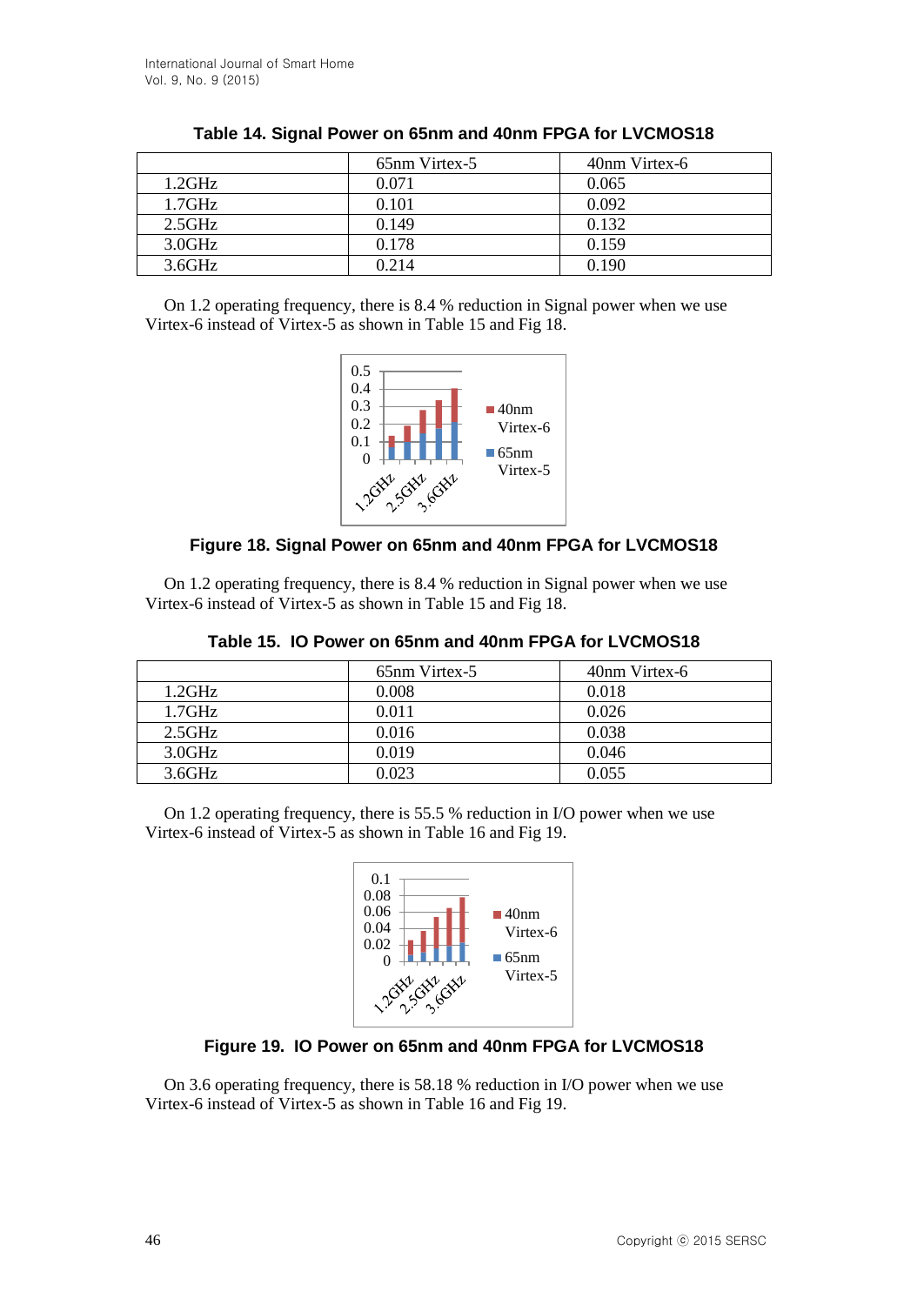|        | 65nm Virtex-5 | 40nm Virtex-6 |
|--------|---------------|---------------|
| 1.2GHz | 0.071         | 0.065         |
| 1.7GHz | 0.101         | 0.092         |
| 2.5GHz | 0.149         | 0.132         |
| 3.0GHz | 0.178         | 0.159         |
| 3.6GHz | 0.214         | 0.190         |

|  |  | Table 14. Signal Power on 65nm and 40nm FPGA for LVCMOS18 |
|--|--|-----------------------------------------------------------|
|--|--|-----------------------------------------------------------|

On 1.2 operating frequency, there is 8.4 % reduction in Signal power when we use Virtex-6 instead of Virtex-5 as shown in Table 15 and Fig 18.



# **Figure 18. Signal Power on 65nm and 40nm FPGA for LVCMOS18**

On 1.2 operating frequency, there is 8.4 % reduction in Signal power when we use Virtex-6 instead of Virtex-5 as shown in Table 15 and Fig 18.

|        | 65 <sub>nm</sub> Virtex-5 | 40nm Virtex-6 |
|--------|---------------------------|---------------|
| 1.2GHz | 0.008                     | 0.018         |
| 1.7GHz | 0.011                     | 0.026         |
| 2.5GHz | 0.016                     | 0.038         |
| 3.0GHz | 0.019                     | 0.046         |
| 3.6GHz | 0.023                     | 0.055         |

**Table 15. IO Power on 65nm and 40nm FPGA for LVCMOS18**

On 1.2 operating frequency, there is 55.5 % reduction in I/O power when we use Virtex-6 instead of Virtex-5 as shown in Table 16 and Fig 19.



# **Figure 19. IO Power on 65nm and 40nm FPGA for LVCMOS18**

On 3.6 operating frequency, there is 58.18 % reduction in I/O power when we use Virtex-6 instead of Virtex-5 as shown in Table 16 and Fig 19.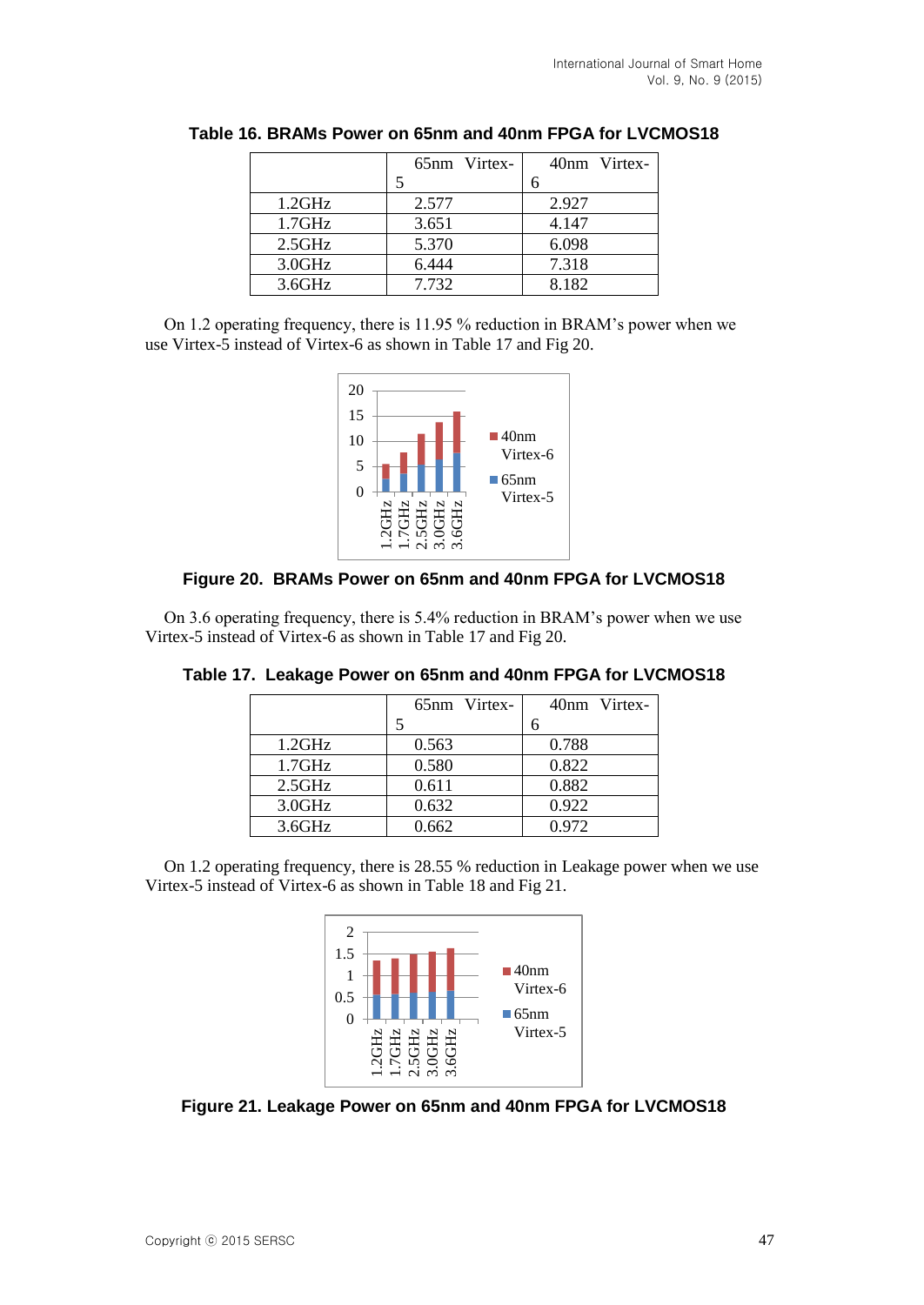|           | 65nm Virtex- | 40nm Virtex- |
|-----------|--------------|--------------|
|           |              |              |
| 1.2GHz    | 2.577        | 2.927        |
| $1.7$ GHz | 3.651        | 4.147        |
| 2.5GHz    | 5.370        | 6.098        |
| 3.0GHz    | 6.444        | 7.318        |
| 3.6GHz    | 7.732        | 8.182        |

**Table 16. BRAMs Power on 65nm and 40nm FPGA for LVCMOS18**

On 1.2 operating frequency, there is 11.95 % reduction in BRAM's power when we use Virtex-5 instead of Virtex-6 as shown in Table 17 and Fig 20.



## **Figure 20. BRAMs Power on 65nm and 40nm FPGA for LVCMOS18**

On 3.6 operating frequency, there is 5.4% reduction in BRAM's power when we use Virtex-5 instead of Virtex-6 as shown in Table 17 and Fig 20.

|        | 65nm Virtex- | 40nm Virtex- |
|--------|--------------|--------------|
|        |              | 6            |
| 1.2GHz | 0.563        | 0.788        |
| 1.7GHz | 0.580        | 0.822        |
| 2.5GHz | 0.611        | 0.882        |
| 3.0GHz | 0.632        | 0.922        |
| 3.6GHz | 0.662        | 0.972        |

**Table 17. Leakage Power on 65nm and 40nm FPGA for LVCMOS18**

On 1.2 operating frequency, there is 28.55 % reduction in Leakage power when we use Virtex-5 instead of Virtex-6 as shown in Table 18 and Fig 21.



**Figure 21. Leakage Power on 65nm and 40nm FPGA for LVCMOS18**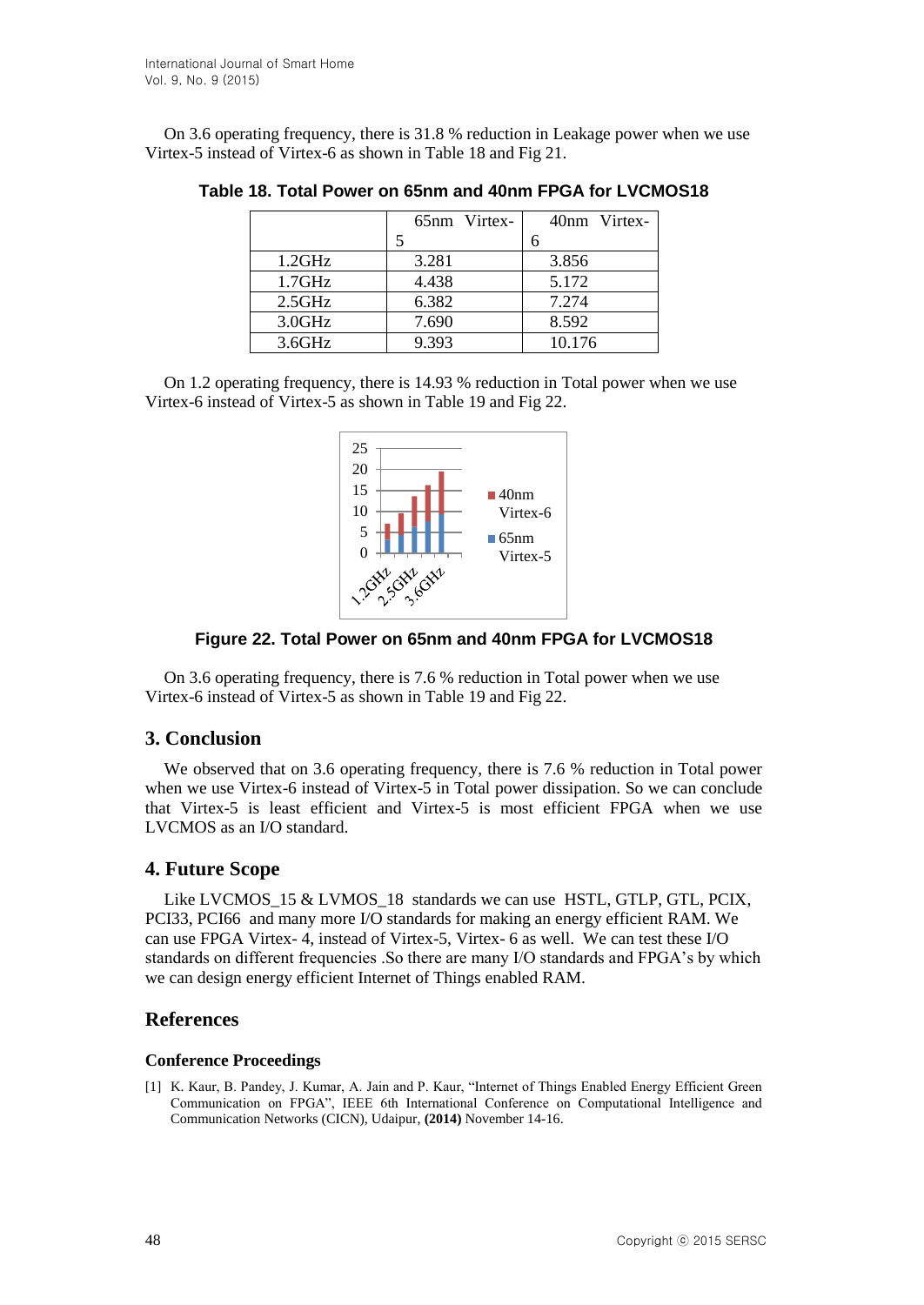On 3.6 operating frequency, there is 31.8 % reduction in Leakage power when we use Virtex-5 instead of Virtex-6 as shown in Table 18 and Fig 21.

|           | 65nm Virtex- | 40nm Virtex- |
|-----------|--------------|--------------|
|           |              |              |
| 1.2GHz    | 3.281        | 3.856        |
| $1.7$ GHz | 4.438        | 5.172        |
| $2.5$ GHz | 6.382        | 7.274        |
| 3.0GHz    | 7.690        | 8.592        |
| 3.6GHz    | 9.393        | 10.176       |

**Table 18. Total Power on 65nm and 40nm FPGA for LVCMOS18**

On 1.2 operating frequency, there is 14.93 % reduction in Total power when we use Virtex-6 instead of Virtex-5 as shown in Table 19 and Fig 22.



**Figure 22. Total Power on 65nm and 40nm FPGA for LVCMOS18**

On 3.6 operating frequency, there is 7.6 % reduction in Total power when we use Virtex-6 instead of Virtex-5 as shown in Table 19 and Fig 22.

# **3. Conclusion**

We observed that on 3.6 operating frequency, there is 7.6 % reduction in Total power when we use Virtex-6 instead of Virtex-5 in Total power dissipation. So we can conclude that Virtex-5 is least efficient and Virtex-5 is most efficient FPGA when we use LVCMOS as an I/O standard.

# **4. Future Scope**

Like LVCMOS 15 & LVMOS 18 standards we can use HSTL, GTLP, GTL, PCIX, PCI33, PCI66 and many more I/O standards for making an energy efficient RAM. We can use FPGA Virtex- 4, instead of Virtex-5, Virtex- 6 as well. We can test these I/O standards on different frequencies .So there are many I/O standards and FPGA's by which we can design energy efficient Internet of Things enabled RAM.

# **References**

#### **Conference Proceedings**

[1] K. Kaur, B. Pandey, J. Kumar, A. Jain and P. Kaur, "Internet of Things Enabled Energy Efficient Green Communication on FPGA", IEEE 6th International Conference on Computational Intelligence and Communication Networks (CICN), Udaipur, **(2014)** November 14-16.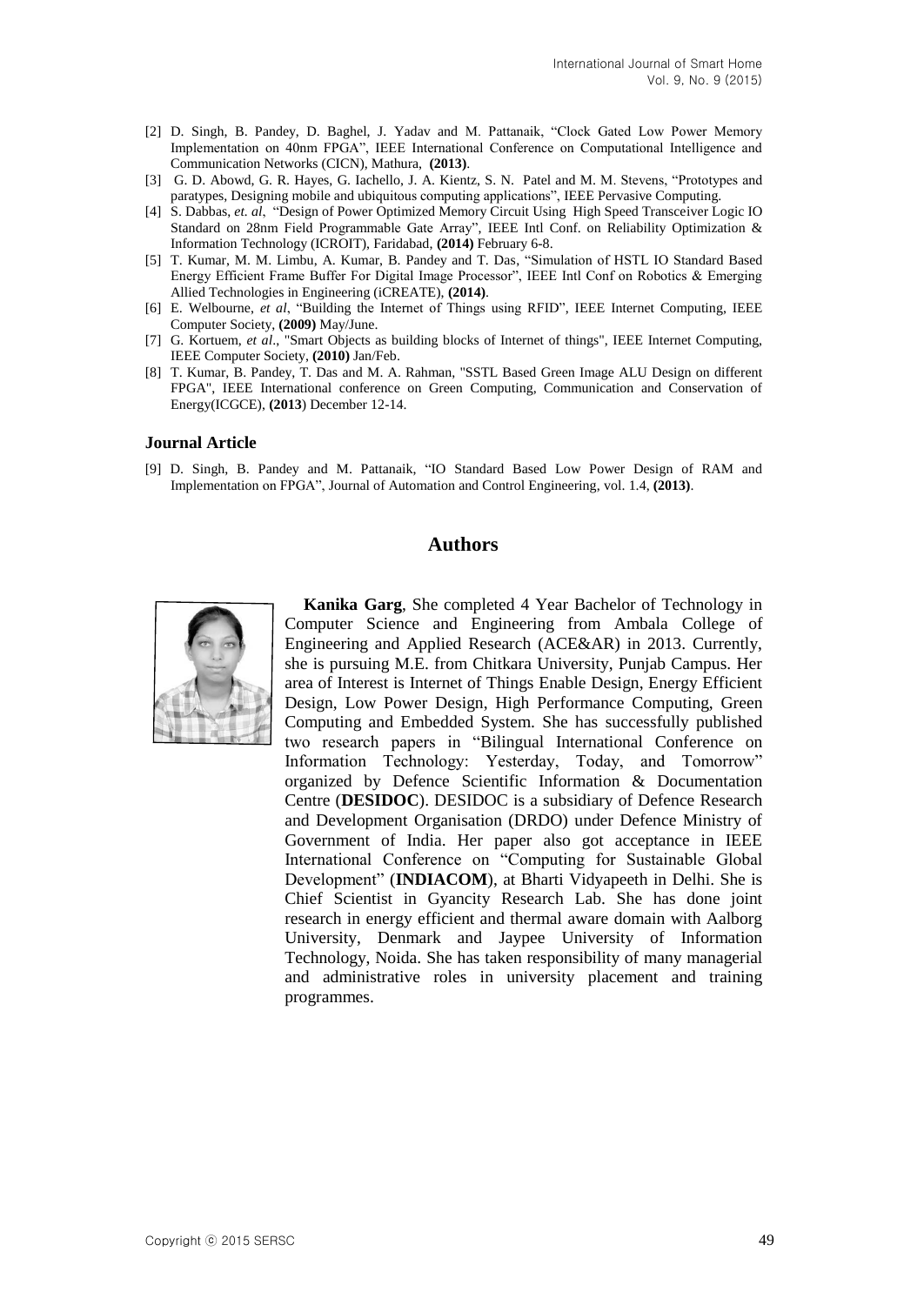- [2] D. Singh, B. Pandey, D. Baghel, J. Yadav and M. Pattanaik, "Clock Gated Low Power Memory Implementation on 40nm FPGA", IEEE International Conference on Computational Intelligence and Communication Networks (CICN), Mathura, **(2013)**.
- [3] G. D. Abowd, G. R. Hayes, G. Iachello, J. A. Kientz, S. N. Patel and M. M. Stevens, "Prototypes and paratypes, Designing mobile and ubiquitous computing applications", IEEE Pervasive Computing.
- [4] S. Dabbas, *et. al*, "Design of Power Optimized Memory Circuit Using High Speed Transceiver Logic IO Standard on 28nm Field Programmable Gate Array", IEEE Intl Conf. on Reliability Optimization & Information Technology (ICROIT), Faridabad, **(2014)** February 6-8.
- [5] T. Kumar, M. M. Limbu, A. Kumar, B. Pandey and T. Das, "Simulation of HSTL IO Standard Based Energy Efficient Frame Buffer For Digital Image Processor", IEEE Intl Conf on Robotics & Emerging Allied Technologies in Engineering (iCREATE), **(2014)**.
- [6] E. Welbourne, *et al*, "Building the Internet of Things using RFID", IEEE Internet Computing, IEEE Computer Society, **(2009)** May/June.
- [7] G. Kortuem, *et al*., "Smart Objects as building blocks of Internet of things", IEEE Internet Computing, IEEE Computer Society, **(2010)** Jan/Feb.
- [8] T. Kumar, B. Pandey, T. Das and M. A. Rahman, "SSTL Based Green Image ALU Design on different FPGA", IEEE International conference on Green Computing, Communication and Conservation of Energy(ICGCE), **(2013**) December 12-14.

#### **Journal Article**

[9] D. Singh, B. Pandey and M. Pattanaik, "IO Standard Based Low Power Design of RAM and Implementation on FPGA", Journal of Automation and Control Engineering, vol. 1.4, **(2013)**.

## **Authors**



**Kanika Garg**, She completed 4 Year Bachelor of Technology in Computer Science and Engineering from Ambala College of Engineering and Applied Research (ACE&AR) in 2013. Currently, she is pursuing M.E. from Chitkara University, Punjab Campus. Her area of Interest is Internet of Things Enable Design, Energy Efficient Design, Low Power Design, High Performance Computing, Green Computing and Embedded System. She has successfully published two research papers in "Bilingual International Conference on Information Technology: Yesterday, Today, and Tomorrow" organized by Defence Scientific Information & Documentation Centre (**DESIDOC**). DESIDOC is a subsidiary of Defence Research and Development Organisation (DRDO) under Defence Ministry of Government of India. Her paper also got acceptance in IEEE International Conference on "Computing for Sustainable Global Development" (**INDIACOM**), at Bharti Vidyapeeth in Delhi. She is Chief Scientist in Gyancity Research Lab. She has done joint research in energy efficient and thermal aware domain with Aalborg University, Denmark and Jaypee University of Information Technology, Noida. She has taken responsibility of many managerial and administrative roles in university placement and training programmes.